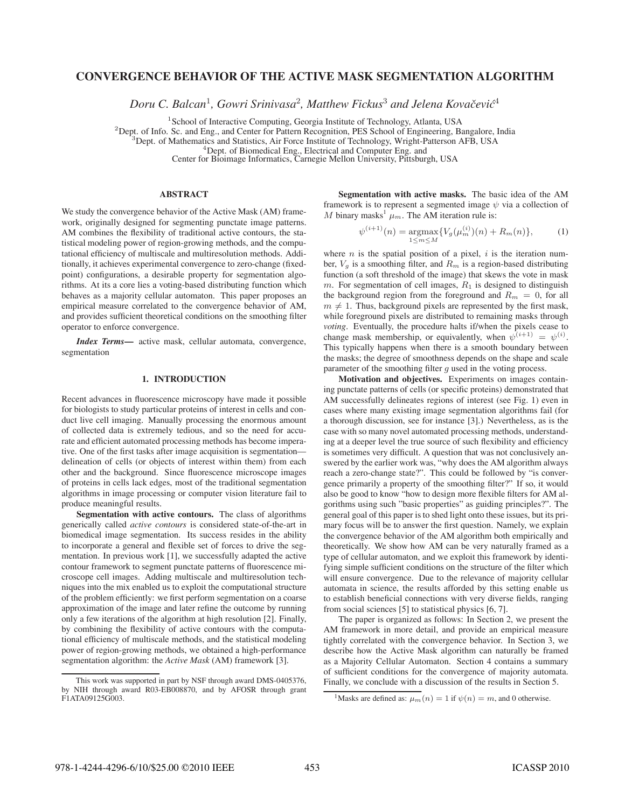# **CONVERGENCE BEHAVIOR OF THE ACTIVE MASK SEGMENTATION ALGORITHM**

*Doru C. Balcan*<sup>1</sup>*, Gowri Srinivasa*<sup>2</sup>*, Matthew Fickus*<sup>3</sup> *and Jelena Kovacevi ˇ c´*<sup>4</sup>

<sup>1</sup>School of Interactive Computing, Georgia Institute of Technology, Atlanta, USA<br><sup>2</sup>Dept. of Info. Sc. and Eng., and Center for Pattern Recognition, PES School of Engineering, Bangalore, India<br><sup>3</sup>Dept. of Mathematics and

<sup>4</sup> Dept. of Biomedical Eng., Electrical and Computer Eng. and<br>Center for Bioimage Informatics, Carnegie Mellon University, Pittsburgh, USA

### **ABSTRACT**

We study the convergence behavior of the Active Mask (AM) framework, originally designed for segmenting punctate image patterns. AM combines the flexibility of traditional active contours, the statistical modeling power of region-growing methods, and the computational efficiency of multiscale and multiresolution methods. Additionally, it achieves experimental convergence to zero-change (fixedpoint) configurations, a desirable property for segmentation algorithms. At its a core lies a voting-based distributing function which behaves as a majority cellular automaton. This paper proposes an empirical measure correlated to the convergence behavior of AM, and provides sufficient theoretical conditions on the smoothing filter operator to enforce convergence.

*Index Terms***—** active mask, cellular automata, convergence, segmentation

### **1. INTRODUCTION**

Recent advances in fluorescence microscopy have made it possible for biologists to study particular proteins of interest in cells and conduct live cell imaging. Manually processing the enormous amount of collected data is extremely tedious, and so the need for accurate and efficient automated processing methods has become imperative. One of the first tasks after image acquisition is segmentation delineation of cells (or objects of interest within them) from each other and the background. Since fluorescence microscope images of proteins in cells lack edges, most of the traditional segmentation algorithms in image processing or computer vision literature fail to produce meaningful results.

**Segmentation with active contours.** The class of algorithms generically called *active contours* is considered state-of-the-art in biomedical image segmentation. Its success resides in the ability to incorporate a general and flexible set of forces to drive the segmentation. In previous work [1], we successfully adapted the active contour framework to segment punctate patterns of fluorescence microscope cell images. Adding multiscale and multiresolution techniques into the mix enabled us to exploit the computational structure of the problem efficiently: we first perform segmentation on a coarse approximation of the image and later refine the outcome by running only a few iterations of the algorithm at high resolution [2]. Finally, by combining the flexibility of active contours with the computational efficiency of multiscale methods, and the statistical modeling power of region-growing methods, we obtained a high-performance segmentation algorithm: the *Active Mask* (AM) framework [3].

**Segmentation with active masks.** The basic idea of the AM framework is to represent a segmented image  $\psi$  via a collection of M binary masks<sup>1</sup>  $\mu_m$ . The AM iteration rule is:

$$
\psi^{(i+1)}(n) = \underset{1 \le m \le M}{\text{argmax}} \{ V_g(\mu_m^{(i)})(n) + R_m(n) \},\tag{1}
$$

where  $n$  is the spatial position of a pixel,  $i$  is the iteration number,  $V_g$  is a smoothing filter, and  $R_m$  is a region-based distributing function (a soft threshold of the image) that skews the vote in mask m. For segmentation of cell images,  $R_1$  is designed to distinguish the background region from the foreground and  $R_m = 0$ , for all  $m \neq 1$ . Thus, background pixels are represented by the first mask, while foreground pixels are distributed to remaining masks through while foreground pixels are distributed to remaining masks through *voting*. Eventually, the procedure halts if/when the pixels cease to change mask membership, or equivalently, when  $\psi^{(i+1)} = \psi^{(i)}$ .<br>This typically happens when there is a smooth boundary between This typically happens when there is a smooth boundary between the masks; the degree of smoothness depends on the shape and scale parameter of the smoothing filter  $g$  used in the voting process.

**Motivation and objectives.** Experiments on images containing punctate patterns of cells (or specific proteins) demonstrated that AM successfully delineates regions of interest (see Fig. 1) even in cases where many existing image segmentation algorithms fail (for a thorough discussion, see for instance [3].) Nevertheless, as is the case with so many novel automated processing methods, understanding at a deeper level the true source of such flexibility and efficiency is sometimes very difficult. A question that was not conclusively answered by the earlier work was, "why does the AM algorithm always reach a zero-change state?". This could be followed by "is convergence primarily a property of the smoothing filter?" If so, it would also be good to know "how to design more flexible filters for AM algorithms using such "basic properties" as guiding principles?". The general goal of this paper is to shed light onto these issues, but its primary focus will be to answer the first question. Namely, we explain the convergence behavior of the AM algorithm both empirically and theoretically. We show how AM can be very naturally framed as a type of cellular automaton, and we exploit this framework by identifying simple sufficient conditions on the structure of the filter which will ensure convergence. Due to the relevance of majority cellular automata in science, the results afforded by this setting enable us to establish beneficial connections with very diverse fields, ranging from social sciences [5] to statistical physics [6, 7].

The paper is organized as follows: In Section 2, we present the AM framework in more detail, and provide an empirical measure tightly correlated with the convergence behavior. In Section 3, we describe how the Active Mask algorithm can naturally be framed as a Majority Cellular Automaton. Section 4 contains a summary of sufficient conditions for the convergence of majority automata. Finally, we conclude with a discussion of the results in Section 5.

This work was supported in part by NSF through award DMS-0405376, by NIH through award R03-EB008870, and by AFOSR through grant F1ATA09125G003.

<sup>&</sup>lt;sup>1</sup>Masks are defined as:  $\mu_m(n) = 1$  if  $\psi(n) = m$ , and 0 otherwise.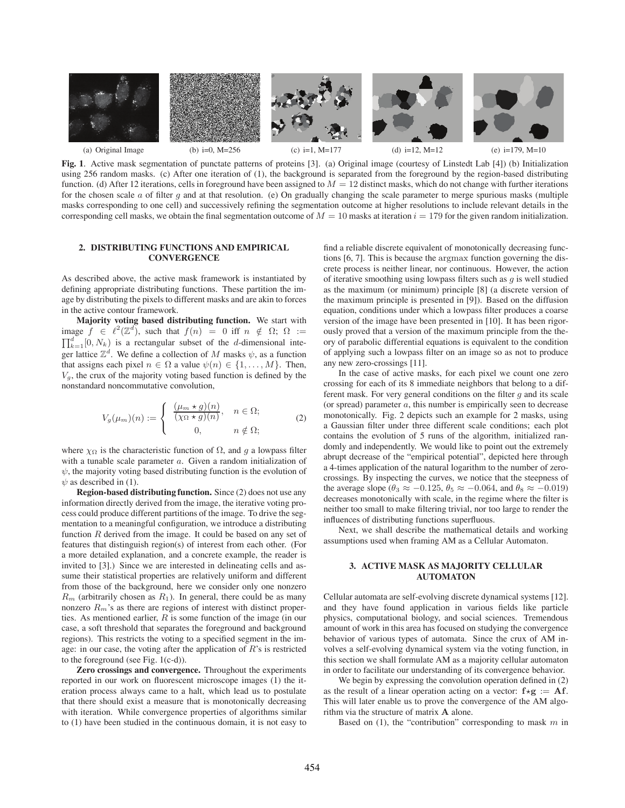

**Fig. 1**. Active mask segmentation of punctate patterns of proteins [3]. (a) Original image (courtesy of Linstedt Lab [4]) (b) Initialization using 256 random masks. (c) After one iteration of (1), the background is separated from the foreground by the region-based distributing function. (d) After 12 iterations, cells in foreground have been assigned to  $M = 12$  distinct masks, which do not change with further iterations for the chosen scale  $a$  of filter  $g$  and at that resolution. (e) On gradually changing the scale parameter to merge spurious masks (multiple masks corresponding to one cell) and successively refining the segmentation outcome at higher resolutions to include relevant details in the corresponding cell masks, we obtain the final segmentation outcome of  $M = 10$  masks at iteration  $i = 179$  for the given random initialization.

### **2. DISTRIBUTING FUNCTIONS AND EMPIRICAL CONVERGENCE**

As described above, the active mask framework is instantiated by defining appropriate distributing functions. These partition the image by distributing the pixels to different masks and are akin to forces in the active contour framework.

**Majority voting based distributing function.** We start with image  $\tilde{f} \in \ell^2(\mathbb{Z}^d)$ , such that  $f(n) = 0$  iff  $n \notin \Omega$ ;  $\Omega :=$ <br> $\overline{\Pi^d}$  (0, N<sub>c</sub>) is a restangular subset of the *d* dimensional inte  $\prod_{k=1}^{d} [0, N_k)$  is a rectangular subset of the *d*-dimensional inte-<br>generalities  $\mathbb{Z}^d$ . We define a collection of *M* masks shape a function ger lattice  $\mathbb{Z}^d$ . We define a collection of M masks  $\psi$ , as a function that assigns each pixel  $n \in \Omega$  a value  $\psi(n) \in \{1, \ldots, M\}$ . Then,  $V_g$ , the crux of the majority voting based function is defined by the nonstandard noncommutative convolution,

$$
V_g(\mu_m)(n) := \begin{cases} \frac{(\mu_m * g)(n)}{(\chi_{\Omega} * g)(n)}, & n \in \Omega; \\ 0, & n \notin \Omega; \end{cases}
$$
 (2)

where  $\chi_{\Omega}$  is the characteristic function of  $\Omega$ , and g a lowpass filter with a tunable scale parameter a. Given a random initialization of  $\psi$ , the majority voting based distributing function is the evolution of  $\psi$  as described in (1).

**Region-based distributing function.** Since (2) does not use any information directly derived from the image, the iterative voting process could produce different partitions of the image. To drive the segmentation to a meaningful configuration, we introduce a distributing function R derived from the image. It could be based on any set of features that distinguish region(s) of interest from each other. (For a more detailed explanation, and a concrete example, the reader is invited to [3].) Since we are interested in delineating cells and assume their statistical properties are relatively uniform and different from those of the background, here we consider only one nonzero  $R_m$  (arbitrarily chosen as  $R_1$ ). In general, there could be as many nonzero  $R_m$ 's as there are regions of interest with distinct properties. As mentioned earlier, R is some function of the image (in our case, a soft threshold that separates the foreground and background regions). This restricts the voting to a specified segment in the image: in our case, the voting after the application of  $R$ 's is restricted to the foreground (see Fig. 1(c-d)).

**Zero crossings and convergence.** Throughout the experiments reported in our work on fluorescent microscope images (1) the iteration process always came to a halt, which lead us to postulate that there should exist a measure that is monotonically decreasing with iteration. While convergence properties of algorithms similar to (1) have been studied in the continuous domain, it is not easy to

find a reliable discrete equivalent of monotonically decreasing functions [6, 7]. This is because the argmax function governing the discrete process is neither linear, nor continuous. However, the action of iterative smoothing using lowpass filters such as  $g$  is well studied as the maximum (or minimum) principle [8] (a discrete version of the maximum principle is presented in [9]). Based on the diffusion equation, conditions under which a lowpass filter produces a coarse version of the image have been presented in [10]. It has been rigorously proved that a version of the maximum principle from the theory of parabolic differential equations is equivalent to the condition of applying such a lowpass filter on an image so as not to produce any new zero-crossings [11].

In the case of active masks, for each pixel we count one zero crossing for each of its 8 immediate neighbors that belong to a different mask. For very general conditions on the filter  $g$  and its scale (or spread) parameter  $a$ , this number is empirically seen to decrease monotonically. Fig. 2 depicts such an example for 2 masks, using a Gaussian filter under three different scale conditions; each plot contains the evolution of 5 runs of the algorithm, initialized randomly and independently. We would like to point out the extremely abrupt decrease of the "empirical potential", depicted here through a 4-times application of the natural logarithm to the number of zerocrossings. By inspecting the curves, we notice that the steepness of the average slope ( $\theta_3 \approx -0.125$ ,  $\theta_5 \approx -0.064$ , and  $\theta_8 \approx -0.019$ ) decreases monotonically with scale, in the regime where the filter is neither too small to make filtering trivial, nor too large to render the influences of distributing functions superfluous.

Next, we shall describe the mathematical details and working assumptions used when framing AM as a Cellular Automaton.

## **3. ACTIVE MASK AS MAJORITY CELLULAR AUTOMATON**

Cellular automata are self-evolving discrete dynamical systems [12]. and they have found application in various fields like particle physics, computational biology, and social sciences. Tremendous amount of work in this area has focused on studying the convergence behavior of various types of automata. Since the crux of AM involves a self-evolving dynamical system via the voting function, in this section we shall formulate AM as a majority cellular automaton in order to facilitate our understanding of its convergence behavior.

We begin by expressing the convolution operation defined in (2) as the result of a linear operation acting on a vector:  $f \star g := Af$ . This will later enable us to prove the convergence of the AM algorithm via the structure of matrix **A** alone.

Based on  $(1)$ , the "contribution" corresponding to mask m in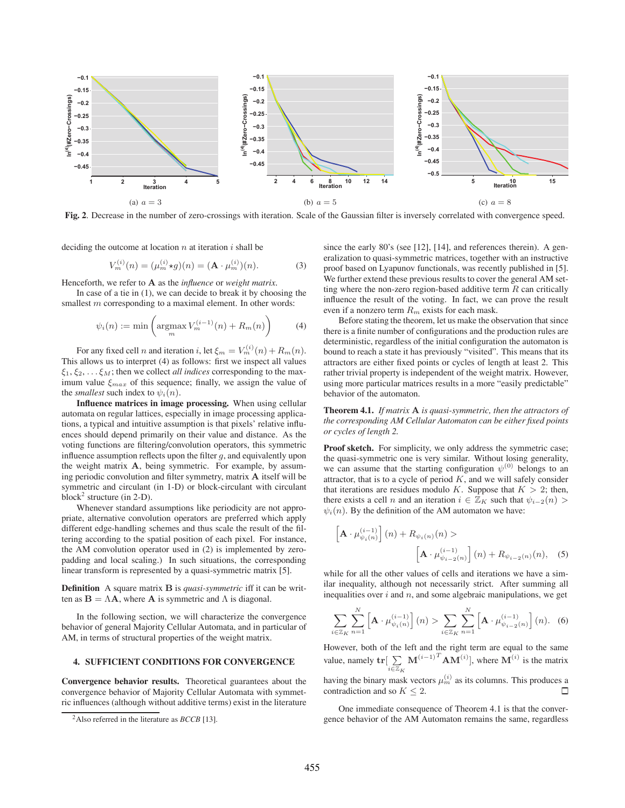

**Fig. 2**. Decrease in the number of zero-crossings with iteration. Scale of the Gaussian filter is inversely correlated with convergence speed.

deciding the outcome at location  $n$  at iteration  $i$  shall be

$$
V_m^{(i)}(n) = (\mu_m^{(i)} \star g)(n) = (\mathbf{A} \cdot \mu_m^{(i)})(n).
$$
 (3)

Henceforth, we refer to **A** as the *influence* or *weight matrix*.

In case of a tie in (1), we can decide to break it by choosing the smallest m corresponding to a maximal element. In other words:

$$
\psi_i(n) := \min\left(\operatorname*{argmax}_m V_m^{(i-1)}(n) + R_m(n)\right) \tag{4}
$$

For any fixed cell n and iteration i, let  $\xi_m = V_m^{(i)}(n) + R_m(n)$ . This allows us to interpret (4) as follows: first we inspect all values  $\xi_1, \xi_2, \ldots, \xi_M$ ; then we collect *all indices* corresponding to the maximum value  $\xi_{max}$  of this sequence; finally, we assign the value of the *smallest* such index to  $\psi_i(n)$ .

**Influence matrices in image processing.** When using cellular automata on regular lattices, especially in image processing applications, a typical and intuitive assumption is that pixels' relative influences should depend primarily on their value and distance. As the voting functions are filtering/convolution operators, this symmetric influence assumption reflects upon the filter  $g$ , and equivalently upon the weight matrix **A**, being symmetric. For example, by assuming periodic convolution and filter symmetry, matrix **A** itself will be symmetric and circulant (in 1-D) or block-circulant with circulant block<sup>2</sup> structure (in 2-D).

Whenever standard assumptions like periodicity are not appropriate, alternative convolution operators are preferred which apply different edge-handling schemes and thus scale the result of the filtering according to the spatial position of each pixel. For instance, the AM convolution operator used in (2) is implemented by zeropadding and local scaling.) In such situations, the corresponding linear transform is represented by a quasi-symmetric matrix [5].

**Definition** A square matrix **B** is *quasi-symmetric* iff it can be written as  $\mathbf{B} = \Lambda \mathbf{A}$ , where **A** is symmetric and  $\Lambda$  is diagonal.

In the following section, we will characterize the convergence behavior of general Majority Cellular Automata, and in particular of AM, in terms of structural properties of the weight matrix.

## **4. SUFFICIENT CONDITIONS FOR CONVERGENCE**

**Convergence behavior results.** Theoretical guarantees about the convergence behavior of Majority Cellular Automata with symmetric influences (although without additive terms) exist in the literature

since the early 80's (see [12], [14], and references therein). A generalization to quasi-symmetric matrices, together with an instructive proof based on Lyapunov functionals, was recently published in [5]. We further extend these previous results to cover the general AM setting where the non-zero region-based additive term  $R$  can critically influence the result of the voting. In fact, we can prove the result even if a nonzero term  $R_m$  exists for each mask.

Before stating the theorem, let us make the observation that since there is a finite number of configurations and the production rules are deterministic, regardless of the initial configuration the automaton is bound to reach a state it has previously "visited". This means that its attractors are either fixed points or cycles of length at least 2. This rather trivial property is independent of the weight matrix. However, using more particular matrices results in a more "easily predictable" behavior of the automaton.

**Theorem 4.1.** *If matrix* **A** *is quasi-symmetric, then the attractors of the corresponding AM Cellular Automaton can be either fixed points or cycles of length 2.*

Proof sketch. For simplicity, we only address the symmetric case; the quasi-symmetric one is very similar. Without losing generality, we can assume that the starting configuration  $\psi^{(0)}$  belongs to an attractor, that is to a cycle of period  $K$ , and we will safely consider that iterations are residues modulo K. Suppose that  $K > 2$ ; then, there exists a cell *n* and an iteration  $i \in \mathbb{Z}_K$  such that  $\psi_{i-2}(n)$  $\psi_i(n)$ . By the definition of the AM automaton we have:

$$
\[\mathbf{A} \cdot \mu_{\psi_i(n)}^{(i-1)}\](n) + R_{\psi_i(n)}(n) >
$$

$$
\left[\mathbf{A} \cdot \mu_{\psi_{i-2}(n)}^{(i-1)}\right](n) + R_{\psi_{i-2}(n)}(n), \quad (5)
$$

while for all the other values of cells and iterations we have a similar inequality, although not necessarily strict. After summing all inequalities over  $i$  and  $n$ , and some algebraic manipulations, we get

$$
\sum_{i \in \mathbb{Z}_K} \sum_{n=1}^N \left[ \mathbf{A} \cdot \mu_{\psi_i(n)}^{(i-1)} \right](n) > \sum_{i \in \mathbb{Z}_K} \sum_{n=1}^N \left[ \mathbf{A} \cdot \mu_{\psi_{i-2}(n)}^{(i-1)} \right](n). \tag{6}
$$

However, both of the left and the right term are equal to the same value, namely  $\mathbf{tr} \left[ \sum_{i \in \mathbb{Z}_K} \mathbf{M}^{(i-1)T} \mathbf{A} \mathbf{M}^{(i)} \right]$ , where  $\mathbf{M}^{(i)}$  is the matrix having the binary mask vectors  $\mu_m^{(i)}$  as its columns. This produces a contradiction and so  $K \leq 2$ . П

One immediate consequence of Theorem 4.1 is that the convergence behavior of the AM Automaton remains the same, regardless

<sup>2</sup>Also referred in the literature as *BCCB* [13].